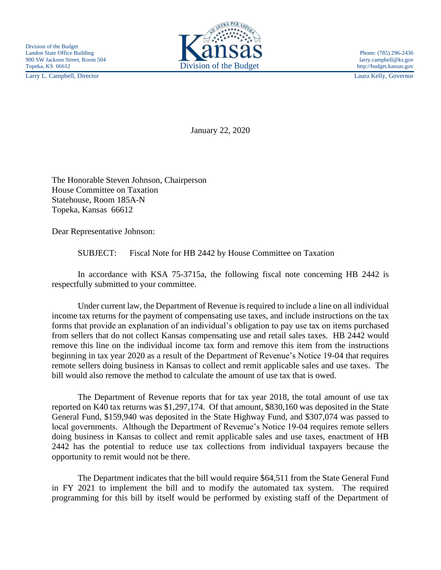Larry L. Campbell, Director Laura Kelly, Governor



January 22, 2020

The Honorable Steven Johnson, Chairperson House Committee on Taxation Statehouse, Room 185A-N Topeka, Kansas 66612

Dear Representative Johnson:

SUBJECT: Fiscal Note for HB 2442 by House Committee on Taxation

In accordance with KSA 75-3715a, the following fiscal note concerning HB 2442 is respectfully submitted to your committee.

Under current law, the Department of Revenue is required to include a line on all individual income tax returns for the payment of compensating use taxes, and include instructions on the tax forms that provide an explanation of an individual's obligation to pay use tax on items purchased from sellers that do not collect Kansas compensating use and retail sales taxes. HB 2442 would remove this line on the individual income tax form and remove this item from the instructions beginning in tax year 2020 as a result of the Department of Revenue's Notice 19-04 that requires remote sellers doing business in Kansas to collect and remit applicable sales and use taxes. The bill would also remove the method to calculate the amount of use tax that is owed.

The Department of Revenue reports that for tax year 2018, the total amount of use tax reported on K40 tax returns was \$1,297,174. Of that amount, \$830,160 was deposited in the State General Fund, \$159,940 was deposited in the State Highway Fund, and \$307,074 was passed to local governments. Although the Department of Revenue's Notice 19-04 requires remote sellers doing business in Kansas to collect and remit applicable sales and use taxes, enactment of HB 2442 has the potential to reduce use tax collections from individual taxpayers because the opportunity to remit would not be there.

The Department indicates that the bill would require \$64,511 from the State General Fund in FY 2021 to implement the bill and to modify the automated tax system. The required programming for this bill by itself would be performed by existing staff of the Department of